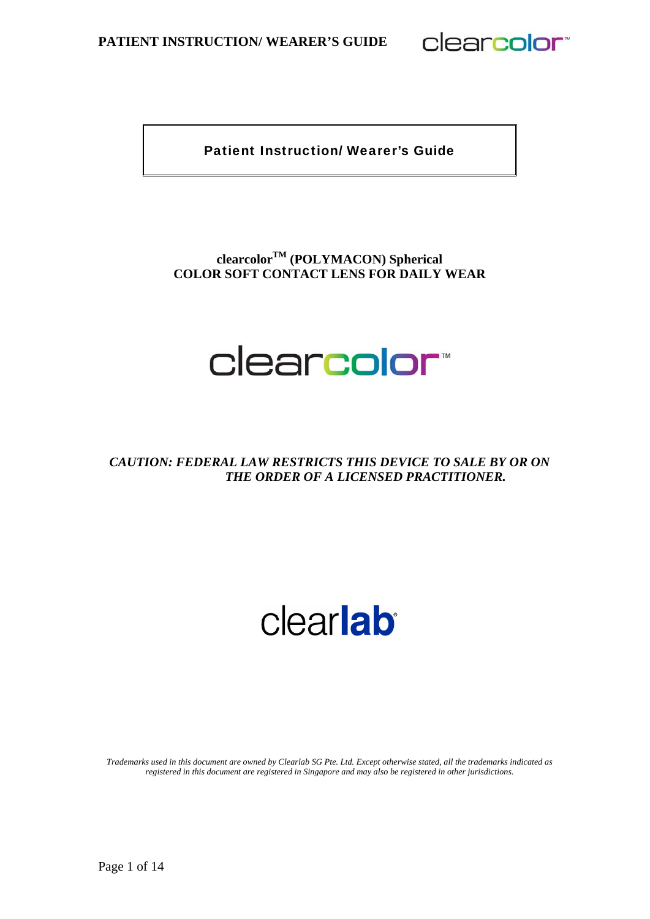clearcolor<sup>®</sup>

Patient Instruction/ Wearer's Guide

## **clearcolorTM (POLYMACON) Spherical COLOR SOFT CONTACT LENS FOR DAILY WEAR**

## clearcolor<sup>\*</sup>

**CAUTION: FEDERAL LAW RESTRICTS THIS DEVICE TO SALE BY OR ON** *THE ORDER OF A LICENSED PRACTITIONER.* 

# clearlab

*Trademarks used in this document are owned by Clearlab SG Pte. Ltd. Except otherwise stated, all the trademarks indicated as registered in this document are registered in Singapore and may also be registered in other jurisdictions.*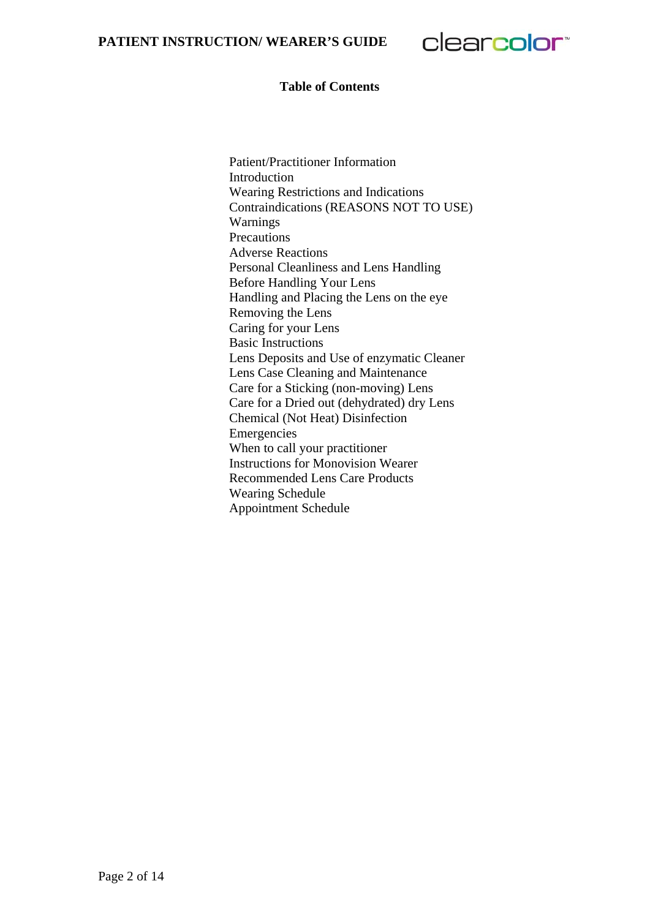clearcolor<sup>®</sup>

#### **Table of Contents**

Patient/Practitioner Information Introduction Wearing Restrictions and Indications Contraindications (REASONS NOT TO USE) Warnings **Precautions** Adverse Reactions Personal Cleanliness and Lens Handling Before Handling Your Lens Handling and Placing the Lens on the eye Removing the Lens Caring for your Lens Basic Instructions Lens Deposits and Use of enzymatic Cleaner Lens Case Cleaning and Maintenance Care for a Sticking (non-moving) Lens Care for a Dried out (dehydrated) dry Lens Chemical (Not Heat) Disinfection Emergencies When to call your practitioner Instructions for Monovision Wearer Recommended Lens Care Products Wearing Schedule Appointment Schedule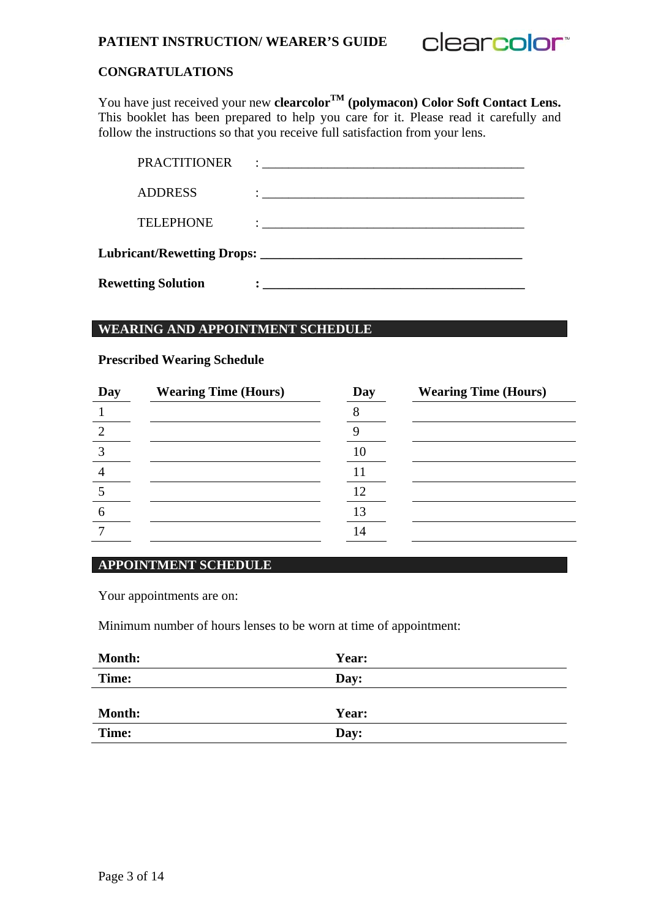

## **CONGRATULATIONS**

You have just received your new **clearcolor**<sup>TM</sup> (polymacon) Color Soft Contact Lens. This booklet has been prepared to help you care for it. Please read it carefully and follow the instructions so that you receive full satisfaction from your lens.

| <b>Rewetting Solution</b> | <u> 2008 - Jan Samuel Barbara, margaret e popularista e popularista e popularista e popularista e popularista e</u>                                                                                                                  |
|---------------------------|--------------------------------------------------------------------------------------------------------------------------------------------------------------------------------------------------------------------------------------|
|                           |                                                                                                                                                                                                                                      |
| <b>TELEPHONE</b>          | <u> : a construction de la construction de la construction de la construction de la construction de la construction de la construction de la construction de la construction de la construction de la construction de la constru</u> |
| <b>ADDRESS</b>            | <u> 2000 - Jan James James Jan James James Jan James James Jan James James Jan James James Jan Jan James Jan Jan</u>                                                                                                                 |
| <b>PRACTITIONER</b>       | $\ddot{\cdot}$ . The contract of the contract of the contract of the contract of the contract of the contract of the contract of the contract of the contract of the contract of the contract of the contract of the contract of th  |

#### **WEARING AND APPOINTMENT SCHEDULE**

#### **Prescribed Wearing Schedule**

| Day | <b>Wearing Time (Hours)</b> | Day | <b>Wearing Time (Hours)</b> |
|-----|-----------------------------|-----|-----------------------------|
|     |                             |     |                             |
|     |                             |     |                             |
|     |                             | 10  |                             |
|     |                             |     |                             |
|     |                             |     |                             |
| h   |                             | 13  |                             |
|     |                             | 14  |                             |
|     |                             |     |                             |

#### **APPOINTMENT SCHEDULE**

Your appointments are on:

Minimum number of hours lenses to be worn at time of appointment:

| <b>Month:</b> | Year: |
|---------------|-------|
| Time:         | Day:  |
|               |       |
| <b>Month:</b> | Year: |
| Time:         | Day:  |
|               |       |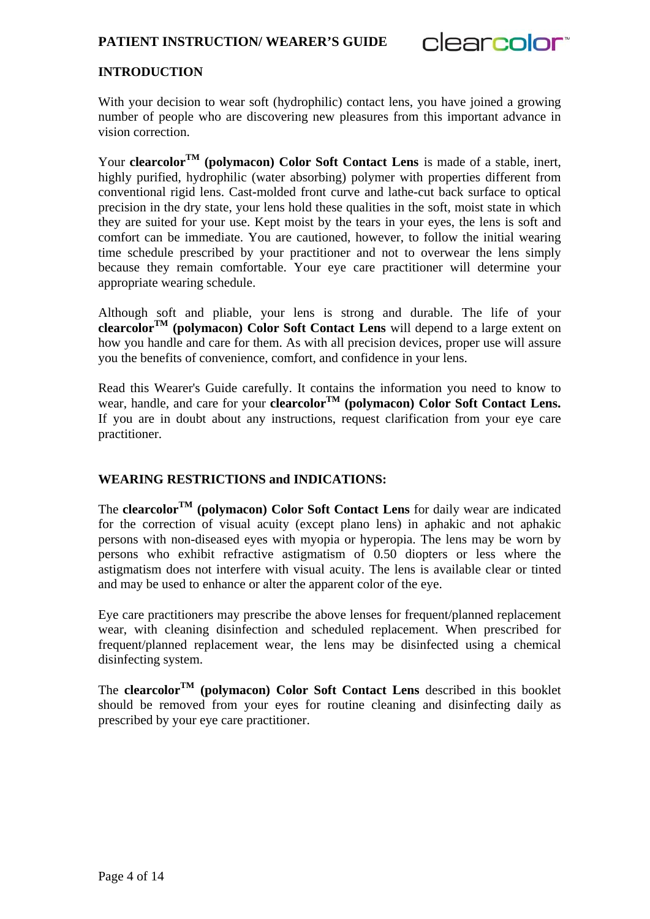

## **INTRODUCTION**

With your decision to wear soft (hydrophilic) contact lens, you have joined a growing number of people who are discovering new pleasures from this important advance in vision correction.

Your **clearcolorTM (polymacon) Color Soft Contact Lens** is made of a stable, inert, highly purified, hydrophilic (water absorbing) polymer with properties different from conventional rigid lens. Cast-molded front curve and lathe-cut back surface to optical precision in the dry state, your lens hold these qualities in the soft, moist state in which they are suited for your use. Kept moist by the tears in your eyes, the lens is soft and comfort can be immediate. You are cautioned, however, to follow the initial wearing time schedule prescribed by your practitioner and not to overwear the lens simply because they remain comfortable. Your eye care practitioner will determine your appropriate wearing schedule.

Although soft and pliable, your lens is strong and durable. The life of your **clearcolorTM (polymacon) Color Soft Contact Lens** will depend to a large extent on how you handle and care for them. As with all precision devices, proper use will assure you the benefits of convenience, comfort, and confidence in your lens.

Read this Wearer's Guide carefully. It contains the information you need to know to wear, handle, and care for your **clearcolorTM (polymacon) Color Soft Contact Lens.** If you are in doubt about any instructions, request clarification from your eye care practitioner.

#### **WEARING RESTRICTIONS and INDICATIONS:**

The **clearcolorTM (polymacon) Color Soft Contact Lens** for daily wear are indicated for the correction of visual acuity (except plano lens) in aphakic and not aphakic persons with non-diseased eyes with myopia or hyperopia. The lens may be worn by persons who exhibit refractive astigmatism of 0.50 diopters or less where the astigmatism does not interfere with visual acuity. The lens is available clear or tinted and may be used to enhance or alter the apparent color of the eye.

Eye care practitioners may prescribe the above lenses for frequent/planned replacement wear, with cleaning disinfection and scheduled replacement. When prescribed for frequent/planned replacement wear, the lens may be disinfected using a chemical disinfecting system.

The **clearcolorTM (polymacon) Color Soft Contact Lens** described in this booklet should be removed from your eyes for routine cleaning and disinfecting daily as prescribed by your eye care practitioner.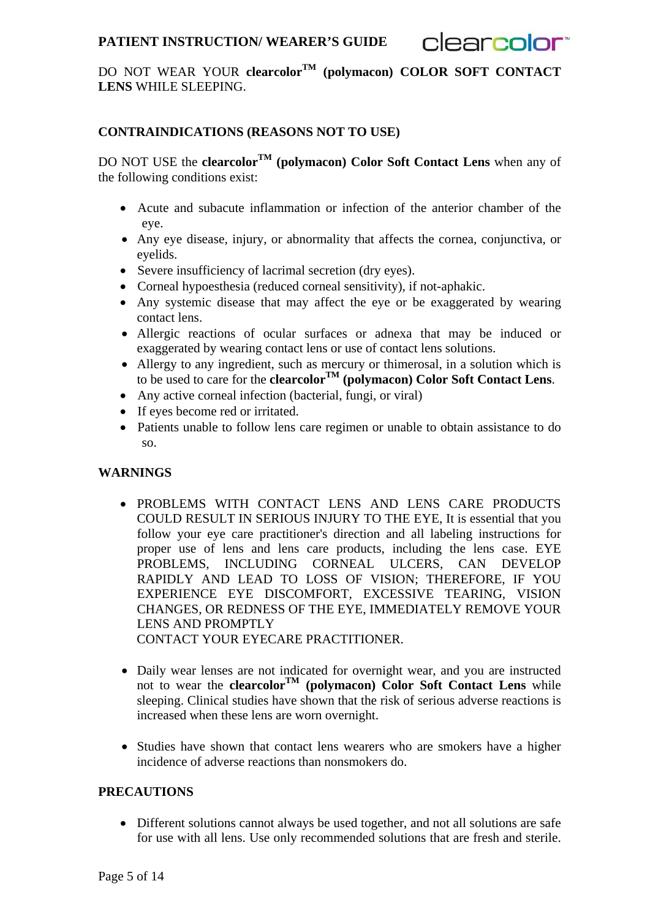clearcolor<sup>®</sup>

DO NOT WEAR YOUR **clearcolorTM (polymacon) COLOR SOFT CONTACT LENS** WHILE SLEEPING.

## **CONTRAINDICATIONS (REASONS NOT TO USE)**

DO NOT USE the **clearcolorTM (polymacon) Color Soft Contact Lens** when any of the following conditions exist:

- Acute and subacute inflammation or infection of the anterior chamber of the eye.
- Any eye disease, injury, or abnormality that affects the cornea, conjunctiva, or eyelids.
- Severe insufficiency of lacrimal secretion (dry eyes).
- Corneal hypoesthesia (reduced corneal sensitivity), if not-aphakic.
- Any systemic disease that may affect the eye or be exaggerated by wearing contact lens.
- Allergic reactions of ocular surfaces or adnexa that may be induced or exaggerated by wearing contact lens or use of contact lens solutions.
- Allergy to any ingredient, such as mercury or thimerosal, in a solution which is to be used to care for the **clearcolor**<sup> $TM$ </sup> (polymacon) **Color Soft Contact Lens**.
- Any active corneal infection (bacterial, fungi, or viral)
- If eyes become red or irritated.
- Patients unable to follow lens care regimen or unable to obtain assistance to do so.

## **WARNINGS**

- PROBLEMS WITH CONTACT LENS AND LENS CARE PRODUCTS COULD RESULT IN SERIOUS INJURY TO THE EYE, It is essential that you follow your eye care practitioner's direction and all labeling instructions for proper use of lens and lens care products, including the lens case. EYE PROBLEMS, INCLUDING CORNEAL ULCERS, CAN DEVELOP RAPIDLY AND LEAD TO LOSS OF VISION; THEREFORE, IF YOU EXPERIENCE EYE DISCOMFORT, EXCESSIVE TEARING, VISION CHANGES, OR REDNESS OF THE EYE, IMMEDIATELY REMOVE YOUR LENS AND PROMPTLY CONTACT YOUR EYECARE PRACTITIONER.
- Daily wear lenses are not indicated for overnight wear, and you are instructed not to wear the **clearcolor<sup>TM</sup>** (polymacon) **Color** Soft **Contact Lens** while sleeping. Clinical studies have shown that the risk of serious adverse reactions is increased when these lens are worn overnight.
- Studies have shown that contact lens wearers who are smokers have a higher incidence of adverse reactions than nonsmokers do.

#### **PRECAUTIONS**

 Different solutions cannot always be used together, and not all solutions are safe for use with all lens. Use only recommended solutions that are fresh and sterile.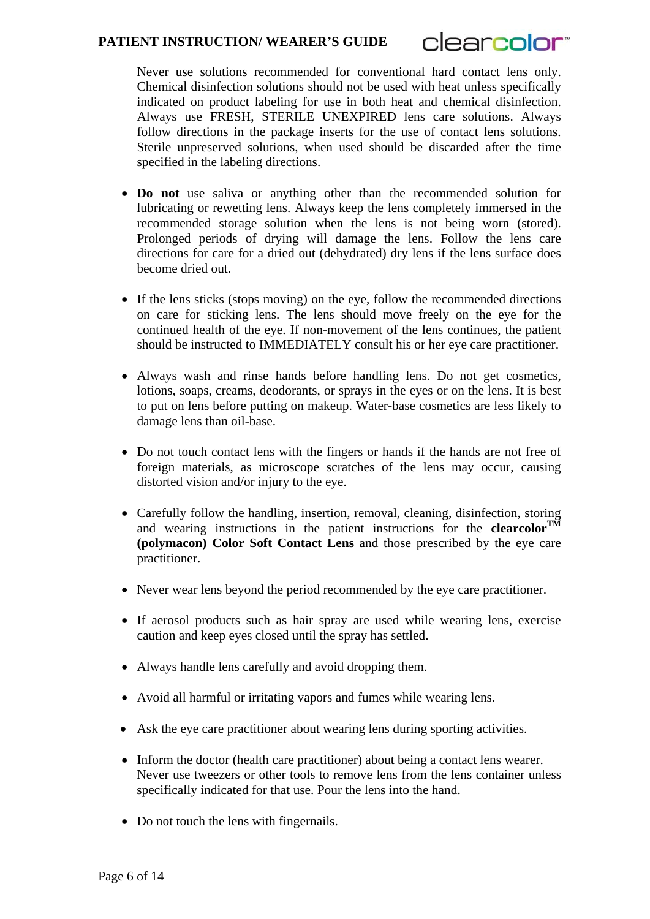

Never use solutions recommended for conventional hard contact lens only. Chemical disinfection solutions should not be used with heat unless specifically indicated on product labeling for use in both heat and chemical disinfection. Always use FRESH, STERILE UNEXPIRED lens care solutions. Always follow directions in the package inserts for the use of contact lens solutions. Sterile unpreserved solutions, when used should be discarded after the time specified in the labeling directions.

- **Do not** use saliva or anything other than the recommended solution for lubricating or rewetting lens. Always keep the lens completely immersed in the recommended storage solution when the lens is not being worn (stored). Prolonged periods of drying will damage the lens. Follow the lens care directions for care for a dried out (dehydrated) dry lens if the lens surface does become dried out.
- If the lens sticks (stops moving) on the eye, follow the recommended directions on care for sticking lens. The lens should move freely on the eye for the continued health of the eye. If non-movement of the lens continues, the patient should be instructed to IMMEDIATELY consult his or her eye care practitioner.
- Always wash and rinse hands before handling lens. Do not get cosmetics, lotions, soaps, creams, deodorants, or sprays in the eyes or on the lens. It is best to put on lens before putting on makeup. Water-base cosmetics are less likely to damage lens than oil-base.
- Do not touch contact lens with the fingers or hands if the hands are not free of foreign materials, as microscope scratches of the lens may occur, causing distorted vision and/or injury to the eye.
- Carefully follow the handling, insertion, removal, cleaning, disinfection, storing and wearing instructions in the patient instructions for the **clearcolorTM (polymacon) Color Soft Contact Lens** and those prescribed by the eye care practitioner.
- Never wear lens beyond the period recommended by the eye care practitioner.
- If aerosol products such as hair spray are used while wearing lens, exercise caution and keep eyes closed until the spray has settled.
- Always handle lens carefully and avoid dropping them.
- Avoid all harmful or irritating vapors and fumes while wearing lens.
- Ask the eye care practitioner about wearing lens during sporting activities.
- Inform the doctor (health care practitioner) about being a contact lens wearer. Never use tweezers or other tools to remove lens from the lens container unless specifically indicated for that use. Pour the lens into the hand.
- Do not touch the lens with fingernails.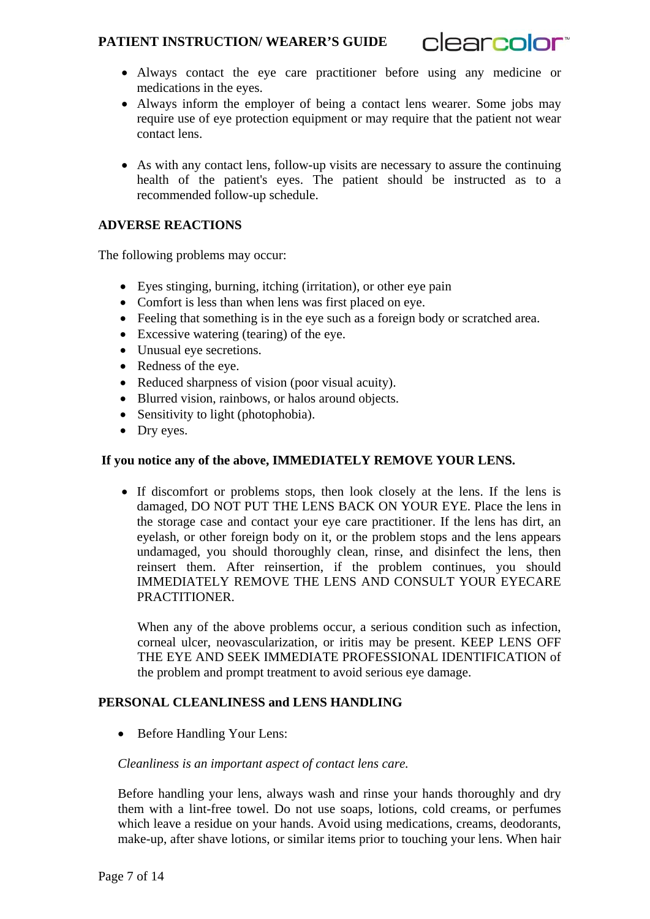

- Always contact the eye care practitioner before using any medicine or medications in the eyes.
- Always inform the employer of being a contact lens wearer. Some jobs may require use of eve protection equipment or may require that the patient not wear contact lens.
- As with any contact lens, follow-up visits are necessary to assure the continuing health of the patient's eyes. The patient should be instructed as to a recommended follow-up schedule.

## **ADVERSE REACTIONS**

The following problems may occur:

- Eyes stinging, burning, itching (irritation), or other eye pain
- Comfort is less than when lens was first placed on eye.
- Feeling that something is in the eye such as a foreign body or scratched area.
- Excessive watering (tearing) of the eye.
- Unusual eye secretions.
- Redness of the eye.
- Reduced sharpness of vision (poor visual acuity).
- Blurred vision, rainbows, or halos around objects.
- Sensitivity to light (photophobia).
- Dry eyes.

## **If you notice any of the above, IMMEDIATELY REMOVE YOUR LENS.**

 If discomfort or problems stops, then look closely at the lens. If the lens is damaged, DO NOT PUT THE LENS BACK ON YOUR EYE. Place the lens in the storage case and contact your eye care practitioner. If the lens has dirt, an eyelash, or other foreign body on it, or the problem stops and the lens appears undamaged, you should thoroughly clean, rinse, and disinfect the lens, then reinsert them. After reinsertion, if the problem continues, you should IMMEDIATELY REMOVE THE LENS AND CONSULT YOUR EYECARE PRACTITIONER.

When any of the above problems occur, a serious condition such as infection, corneal ulcer, neovascularization, or iritis may be present. KEEP LENS OFF THE EYE AND SEEK IMMEDIATE PROFESSIONAL IDENTIFICATION of the problem and prompt treatment to avoid serious eye damage.

## **PERSONAL CLEANLINESS and LENS HANDLING**

• Before Handling Your Lens:

#### *Cleanliness is an important aspect of contact lens care.*

Before handling your lens, always wash and rinse your hands thoroughly and dry them with a lint-free towel. Do not use soaps, lotions, cold creams, or perfumes which leave a residue on your hands. Avoid using medications, creams, deodorants, make-up, after shave lotions, or similar items prior to touching your lens. When hair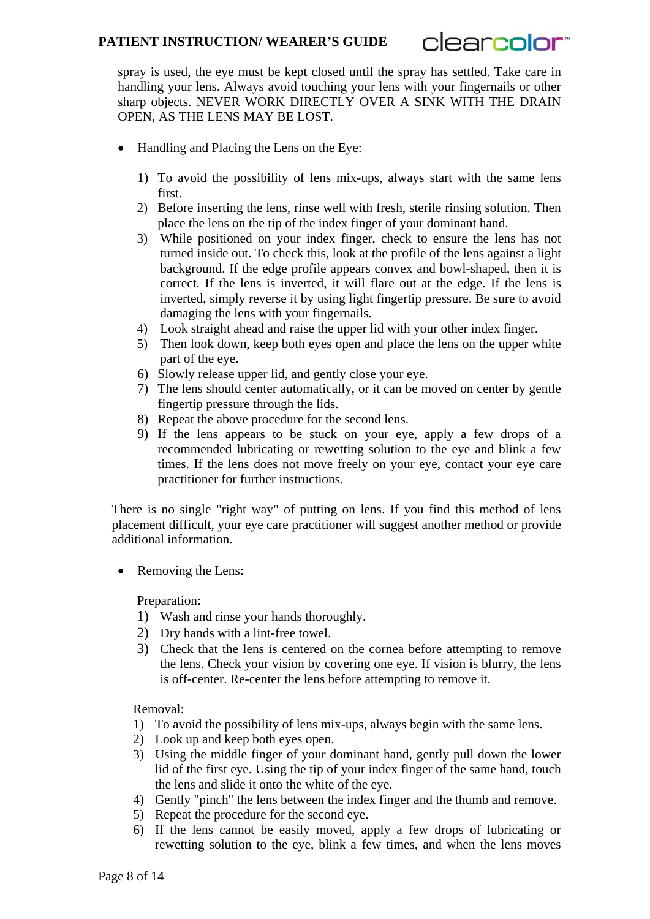clearcolor<sup>®</sup>

spray is used, the eye must be kept closed until the spray has settled. Take care in handling your lens. Always avoid touching your lens with your fingernails or other sharp objects. NEVER WORK DIRECTLY OVER A SINK WITH THE DRAIN OPEN, AS THE LENS MAY BE LOST.

- Handling and Placing the Lens on the Eye:
	- 1) To avoid the possibility of lens mix-ups, always start with the same lens first.
	- 2) Before inserting the lens, rinse well with fresh, sterile rinsing solution. Then place the lens on the tip of the index finger of your dominant hand.
	- 3) While positioned on your index finger, check to ensure the lens has not turned inside out. To check this, look at the profile of the lens against a light background. If the edge profile appears convex and bowl-shaped, then it is correct. If the lens is inverted, it will flare out at the edge. If the lens is inverted, simply reverse it by using light fingertip pressure. Be sure to avoid damaging the lens with your fingernails.
	- 4) Look straight ahead and raise the upper lid with your other index finger.
	- 5) Then look down, keep both eyes open and place the lens on the upper white part of the eye.
	- 6) Slowly release upper lid, and gently close your eye.
	- 7) The lens should center automatically, or it can be moved on center by gentle fingertip pressure through the lids.
	- 8) Repeat the above procedure for the second lens.
	- 9) If the lens appears to be stuck on your eye, apply a few drops of a recommended lubricating or rewetting solution to the eye and blink a few times. If the lens does not move freely on your eye, contact your eye care practitioner for further instructions.

There is no single "right way" of putting on lens. If you find this method of lens placement difficult, your eye care practitioner will suggest another method or provide additional information.

Removing the Lens:

Preparation:

- 1) Wash and rinse your hands thoroughly.
- 2) Dry hands with a lint-free towel.
- 3) Check that the lens is centered on the cornea before attempting to remove the lens. Check your vision by covering one eye. If vision is blurry, the lens is off-center. Re-center the lens before attempting to remove it.

Removal:

- 1) To avoid the possibility of lens mix-ups, always begin with the same lens.
- 2) Look up and keep both eyes open.
- 3) Using the middle finger of your dominant hand, gently pull down the lower lid of the first eye. Using the tip of your index finger of the same hand, touch the lens and slide it onto the white of the eye.
- 4) Gently "pinch" the lens between the index finger and the thumb and remove.
- 5) Repeat the procedure for the second eye.
- 6) If the lens cannot be easily moved, apply a few drops of lubricating or rewetting solution to the eye, blink a few times, and when the lens moves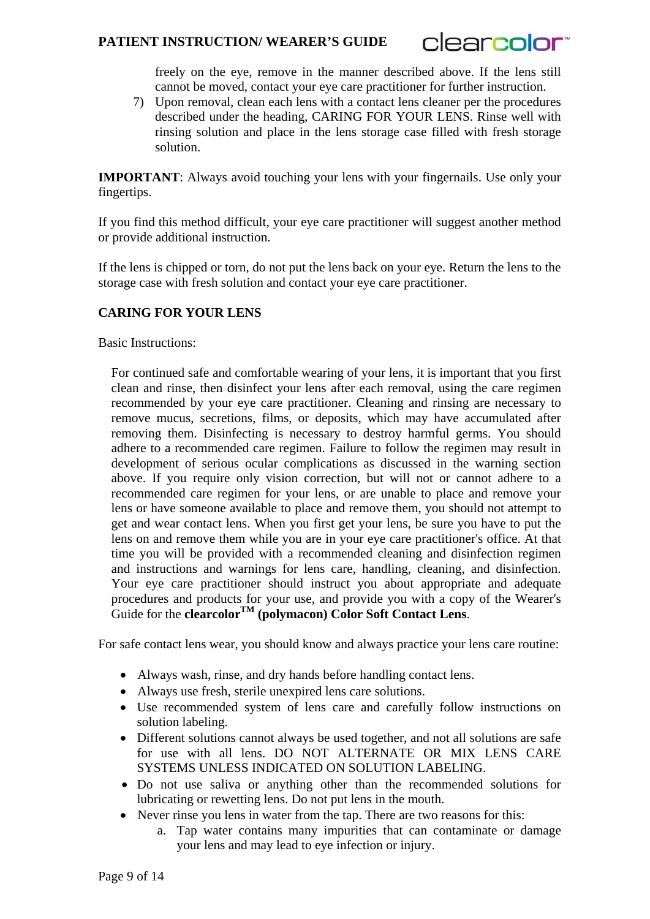

freely on the eye, remove in the manner described above. If the lens still cannot be moved, contact your eye care practitioner for further instruction.

7) Upon removal, clean each lens with a contact lens cleaner per the procedures described under the heading, CARING FOR YOUR LENS. Rinse well with rinsing solution and place in the lens storage case filled with fresh storage solution.

**IMPORTANT:** Always avoid touching your lens with your fingernails. Use only your fingertips.

If you find this method difficult, your eye care practitioner will suggest another method or provide additional instruction.

If the lens is chipped or torn, do not put the lens back on your eye. Return the lens to the storage case with fresh solution and contact your eye care practitioner.

#### **CARING FOR YOUR LENS**

Basic Instructions:

For continued safe and comfortable wearing of your lens, it is important that you first clean and rinse, then disinfect your lens after each removal, using the care regimen recommended by your eye care practitioner. Cleaning and rinsing are necessary to remove mucus, secretions, films, or deposits, which may have accumulated after removing them. Disinfecting is necessary to destroy harmful germs. You should adhere to a recommended care regimen. Failure to follow the regimen may result in development of serious ocular complications as discussed in the warning section above. If you require only vision correction, but will not or cannot adhere to a recommended care regimen for your lens, or are unable to place and remove your lens or have someone available to place and remove them, you should not attempt to get and wear contact lens. When you first get your lens, be sure you have to put the lens on and remove them while you are in your eye care practitioner's office. At that time you will be provided with a recommended cleaning and disinfection regimen and instructions and warnings for lens care, handling, cleaning, and disinfection. Your eye care practitioner should instruct you about appropriate and adequate procedures and products for your use, and provide you with a copy of the Wearer's Guide for the **clearcolor**<sup>TM</sup> (polymacon) **Color** Soft **Contact Lens**.

For safe contact lens wear, you should know and always practice your lens care routine:

- Always wash, rinse, and dry hands before handling contact lens.
- Always use fresh, sterile unexpired lens care solutions.
- Use recommended system of lens care and carefully follow instructions on solution labeling.
- Different solutions cannot always be used together, and not all solutions are safe for use with all lens. DO NOT ALTERNATE OR MIX LENS CARE SYSTEMS UNLESS INDICATED ON SOLUTION LABELING.
- Do not use saliva or anything other than the recommended solutions for lubricating or rewetting lens. Do not put lens in the mouth.
- Never rinse you lens in water from the tap. There are two reasons for this:
	- a. Tap water contains many impurities that can contaminate or damage your lens and may lead to eye infection or injury.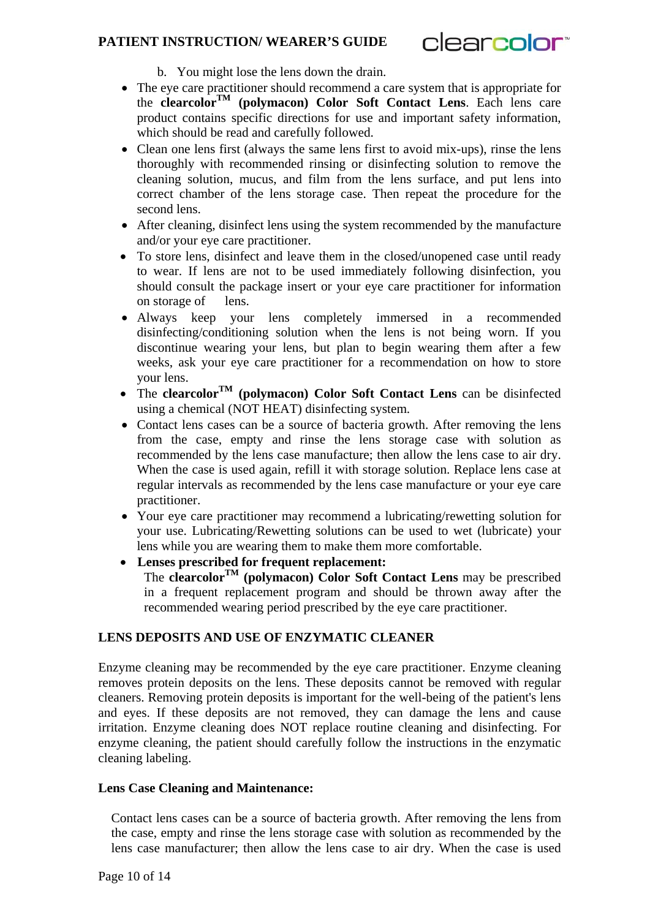

b. You might lose the lens down the drain.

- The eye care practitioner should recommend a care system that is appropriate for the **clearcolorTM (polymacon) Color Soft Contact Lens**. Each lens care product contains specific directions for use and important safety information, which should be read and carefully followed.
- Clean one lens first (always the same lens first to avoid mix-ups), rinse the lens thoroughly with recommended rinsing or disinfecting solution to remove the cleaning solution, mucus, and film from the lens surface, and put lens into correct chamber of the lens storage case. Then repeat the procedure for the second lens.
- After cleaning, disinfect lens using the system recommended by the manufacture and/or your eye care practitioner.
- To store lens, disinfect and leave them in the closed/unopened case until ready to wear. If lens are not to be used immediately following disinfection, you should consult the package insert or your eye care practitioner for information on storage of lens.
- Always keep your lens completely immersed in a recommended disinfecting/conditioning solution when the lens is not being worn. If you discontinue wearing your lens, but plan to begin wearing them after a few weeks, ask your eye care practitioner for a recommendation on how to store your lens.
- The **clearcolorTM (polymacon) Color Soft Contact Lens** can be disinfected using a chemical (NOT HEAT) disinfecting system.
- Contact lens cases can be a source of bacteria growth. After removing the lens from the case, empty and rinse the lens storage case with solution as recommended by the lens case manufacture; then allow the lens case to air dry. When the case is used again, refill it with storage solution. Replace lens case at regular intervals as recommended by the lens case manufacture or your eye care practitioner.
- Your eye care practitioner may recommend a lubricating/rewetting solution for your use. Lubricating/Rewetting solutions can be used to wet (lubricate) your lens while you are wearing them to make them more comfortable.
- **Lenses prescribed for frequent replacement:** The **clearcolor**<sup>TM</sup> (polymacon) Color Soft Contact Lens may be prescribed in a frequent replacement program and should be thrown away after the recommended wearing period prescribed by the eye care practitioner.

## **LENS DEPOSITS AND USE OF ENZYMATIC CLEANER**

Enzyme cleaning may be recommended by the eye care practitioner. Enzyme cleaning removes protein deposits on the lens. These deposits cannot be removed with regular cleaners. Removing protein deposits is important for the well-being of the patient's lens and eyes. If these deposits are not removed, they can damage the lens and cause irritation. Enzyme cleaning does NOT replace routine cleaning and disinfecting. For enzyme cleaning, the patient should carefully follow the instructions in the enzymatic cleaning labeling.

#### **Lens Case Cleaning and Maintenance:**

Contact lens cases can be a source of bacteria growth. After removing the lens from the case, empty and rinse the lens storage case with solution as recommended by the lens case manufacturer; then allow the lens case to air dry. When the case is used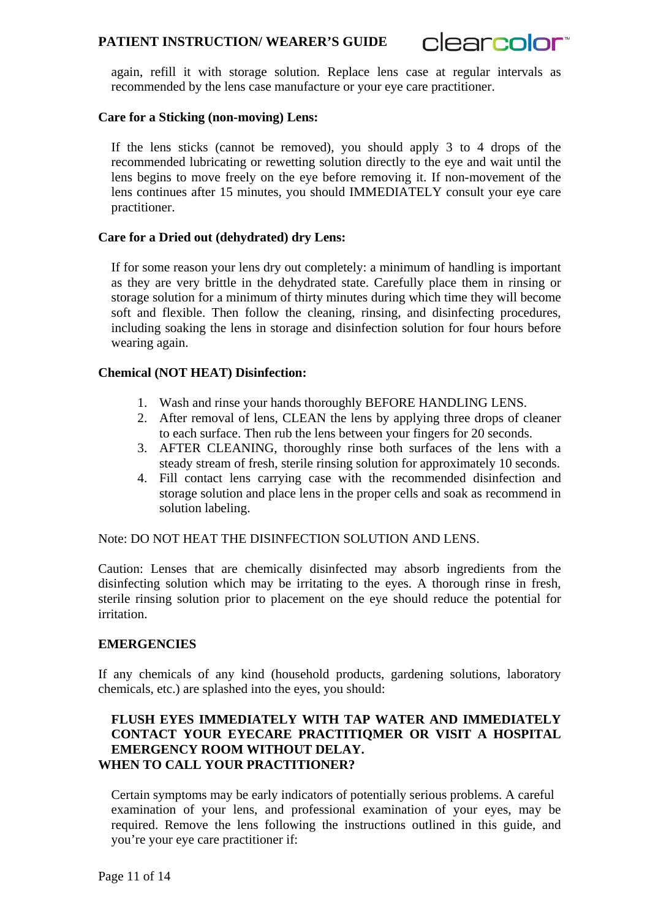clearcolor<sup>®</sup>

again, refill it with storage solution. Replace lens case at regular intervals as recommended by the lens case manufacture or your eye care practitioner.

#### **Care for a Sticking (non-moving) Lens:**

If the lens sticks (cannot be removed), you should apply 3 to 4 drops of the recommended lubricating or rewetting solution directly to the eye and wait until the lens begins to move freely on the eye before removing it. If non-movement of the lens continues after 15 minutes, you should IMMEDIATELY consult your eye care practitioner.

#### **Care for a Dried out (dehydrated) dry Lens:**

If for some reason your lens dry out completely: a minimum of handling is important as they are very brittle in the dehydrated state. Carefully place them in rinsing or storage solution for a minimum of thirty minutes during which time they will become soft and flexible. Then follow the cleaning, rinsing, and disinfecting procedures, including soaking the lens in storage and disinfection solution for four hours before wearing again.

#### **Chemical (NOT HEAT) Disinfection:**

- 1. Wash and rinse your hands thoroughly BEFORE HANDLING LENS.
- 2. After removal of lens, CLEAN the lens by applying three drops of cleaner to each surface. Then rub the lens between your fingers for 20 seconds.
- 3. AFTER CLEANING, thoroughly rinse both surfaces of the lens with a steady stream of fresh, sterile rinsing solution for approximately 10 seconds.
- 4. Fill contact lens carrying case with the recommended disinfection and storage solution and place lens in the proper cells and soak as recommend in solution labeling.

Note: DO NOT HEAT THE DISINFECTION SOLUTION AND LENS.

Caution: Lenses that are chemically disinfected may absorb ingredients from the disinfecting solution which may be irritating to the eyes. A thorough rinse in fresh, sterile rinsing solution prior to placement on the eye should reduce the potential for irritation.

#### **EMERGENCIES**

If any chemicals of any kind (household products, gardening solutions, laboratory chemicals, etc.) are splashed into the eyes, you should:

#### **FLUSH EYES IMMEDIATELY WITH TAP WATER AND IMMEDIATELY CONTACT YOUR EYECARE PRACTITIQMER OR VISIT A HOSPITAL EMERGENCY ROOM WITHOUT DELAY. WHEN TO CALL YOUR PRACTITIONER?**

Certain symptoms may be early indicators of potentially serious problems. A careful examination of your lens, and professional examination of your eyes, may be required. Remove the lens following the instructions outlined in this guide, and you're your eye care practitioner if: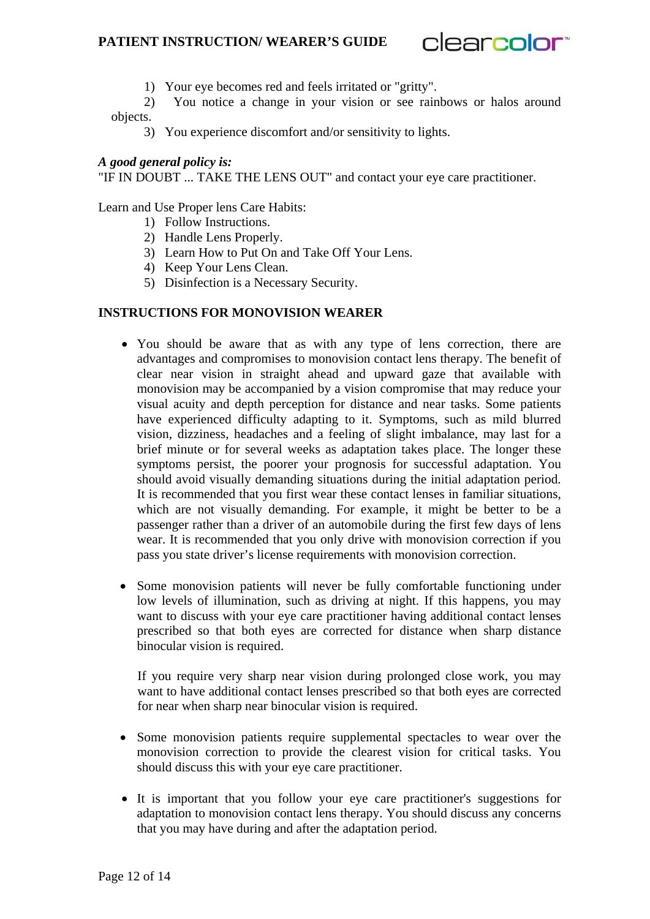

1) Your eye becomes red and feels irritated or "gritty".

2) You notice a change in your vision or see rainbows or halos around objects.

3) You experience discomfort and/or sensitivity to lights.

#### *A good general policy is:*

"IF IN DOUBT ... TAKE THE LENS OUT" and contact your eye care practitioner.

Learn and Use Proper lens Care Habits:

- 1) Follow Instructions.
- 2) Handle Lens Properly.
- 3)Learn How to Put On and Take Off Your Lens.
- 4) Keep Your Lens Clean.
- 5) Disinfection is a Necessary Security.

#### **INSTRUCTIONS FOR MONOVISION WEARER**

- You should be aware that as with any type of lens correction, there are advantages and compromises to monovision contact lens therapy. The benefit of clear near vision in straight ahead and upward gaze that available with monovision may be accompanied by a vision compromise that may reduce your visual acuity and depth perception for distance and near tasks. Some patients have experienced difficulty adapting to it. Symptoms, such as mild blurred vision, dizziness, headaches and a feeling of slight imbalance, may last for a brief minute or for several weeks as adaptation takes place. The longer these symptoms persist, the poorer your prognosis for successful adaptation. You should avoid visually demanding situations during the initial adaptation period. It is recommended that you first wear these contact lenses in familiar situations, which are not visually demanding. For example, it might be better to be a passenger rather than a driver of an automobile during the first few days of lens wear. It is recommended that you only drive with monovision correction if you pass you state driver's license requirements with monovision correction.
- Some monovision patients will never be fully comfortable functioning under low levels of illumination, such as driving at night. If this happens, you may want to discuss with your eye care practitioner having additional contact lenses prescribed so that both eyes are corrected for distance when sharp distance binocular vision is required.

If you require very sharp near vision during prolonged close work, you may want to have additional contact lenses prescribed so that both eyes are corrected for near when sharp near binocular vision is required.

- Some monovision patients require supplemental spectacles to wear over the monovision correction to provide the clearest vision for critical tasks. You should discuss this with your eye care practitioner.
- It is important that you follow your eye care practitioner's suggestions for adaptation to monovision contact lens therapy. You should discuss any concerns that you may have during and after the adaptation period.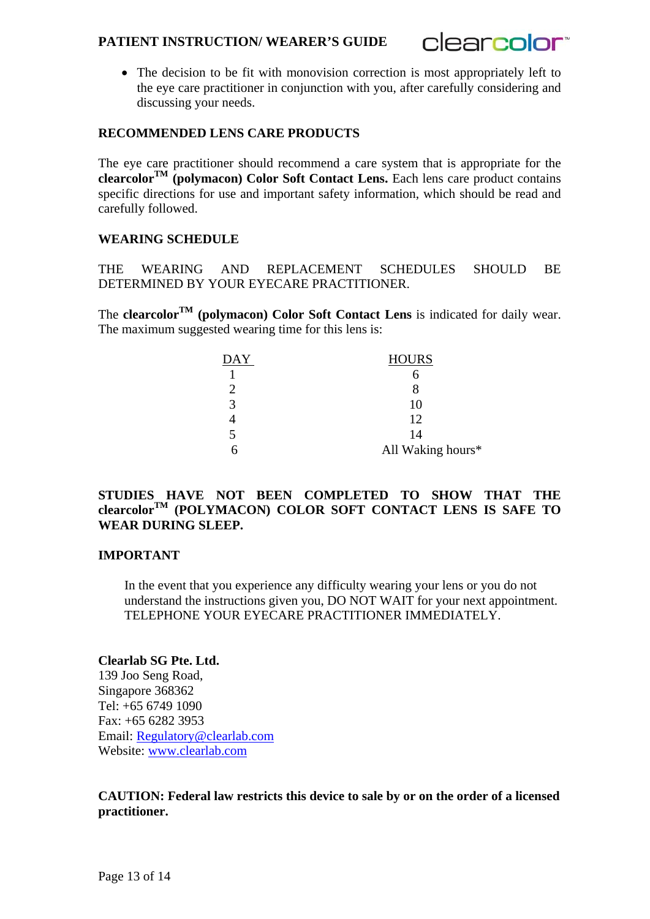

• The decision to be fit with monovision correction is most appropriately left to the eye care practitioner in conjunction with you, after carefully considering and discussing your needs.

## **RECOMMENDED LENS CARE PRODUCTS**

The eye care practitioner should recommend a care system that is appropriate for the **clearcolorTM (polymacon) Color Soft Contact Lens.** Each lens care product contains specific directions for use and important safety information, which should be read and carefully followed.

#### **WEARING SCHEDULE**

THE WEARING AND REPLACEMENT SCHEDULES SHOULD BE DETERMINED BY YOUR EYECARE PRACTITIONER.

The **clearcolorTM (polymacon) Color Soft Contact Lens** is indicated for daily wear. The maximum suggested wearing time for this lens is:

| DAY | <b>HOURS</b>      |
|-----|-------------------|
|     |                   |
|     |                   |
|     | 10                |
|     | 12                |
|     | 14                |
|     | All Waking hours* |

## **STUDIES HAVE NOT BEEN COMPLETED TO SHOW THAT THE clearcolorTM (POLYMACON) COLOR SOFT CONTACT LENS IS SAFE TO WEAR DURING SLEEP.**

#### **IMPORTANT**

In the event that you experience any difficulty wearing your lens or you do not understand the instructions given you, DO NOT WAIT for your next appointment. TELEPHONE YOUR EYECARE PRACTITIONER IMMEDIATELY.

#### **Clearlab SG Pte. Ltd.**

139 Joo Seng Road, Singapore 368362 Tel: +65 6749 1090 Fax: +65 6282 3953 Email: Regulatory@clearlab.com Website: www.clearlab.com

**CAUTION: Federal law restricts this device to sale by or on the order of a licensed practitioner.**